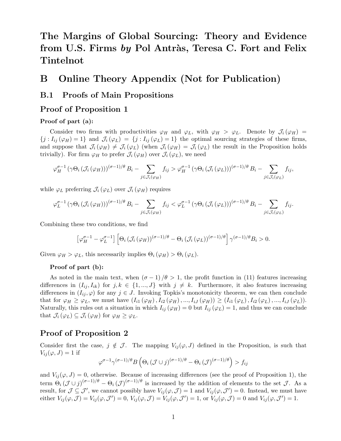# The Margins of Global Sourcing: Theory and Evidence from U.S. Firms by Pol Antràs, Teresa C. Fort and Felix Tintelnot

## B Online Theory Appendix (Not for Publication)

### B.1 Proofs of Main Propositions

#### Proof of Proposition 1

#### Proof of part (a):

Consider two firms with productivities  $\varphi_H$  and  $\varphi_L$ , with  $\varphi_H > \varphi_L$ . Denote by  $\mathcal{J}_i(\varphi_H) =$  ${j: I_{ij} (\varphi_H) = 1}$  and  $\mathcal{J}_i (\varphi_L) = {j: I_{ij} (\varphi_L) = 1}$  the optimal sourcing strategies of these firms, and suppose that  $\mathcal{J}_i(\varphi_H) \neq \mathcal{J}_i(\varphi_L)$  (when  $\mathcal{J}_i(\varphi_H) = \mathcal{J}_i(\varphi_L)$  the result in the Proposition holds trivially). For firm  $\varphi_H$  to prefer  $\mathcal{J}_i(\varphi_H)$  over  $\mathcal{J}_i(\varphi_L)$ , we need

$$
\varphi_H^{\sigma-1}(\gamma \Theta_i (\mathcal{J}_i(\varphi_H)))^{(\sigma-1)/\theta} B_i - \sum_{j \in \mathcal{J}_i(\varphi_H)} f_{ij} > \varphi_H^{\sigma-1}(\gamma \Theta_i (\mathcal{J}_i(\varphi_L)))^{(\sigma-1)/\theta} B_i - \sum_{j \in \mathcal{J}_i(\varphi_L)} f_{ij},
$$

while  $\varphi_L$  preferring  $\mathcal{J}_i(\varphi_L)$  over  $\mathcal{J}_i(\varphi_H)$  requires

$$
\varphi_L^{\sigma-1} \left( \gamma \Theta_i \left( \mathcal{J}_i \left( \varphi_H \right) \right) \right)^{(\sigma-1)/\theta} B_i - \sum_{j \in \mathcal{J}_i(\varphi_H)} f_{ij} < \varphi_L^{\sigma-1} \left( \gamma \Theta_i \left( \mathcal{J}_i \left( \varphi_L \right) \right) \right)^{(\sigma-1)/\theta} B_i - \sum_{j \in \mathcal{J}_i(\varphi_L)} f_{ij}.
$$

Combining these two conditions, we find

$$
\left[\varphi_H^{\sigma-1} - \varphi_L^{\sigma-1}\right] \left[\Theta_i \left(\mathcal{J}_i\left(\varphi_H\right)\right)^{(\sigma-1)/\theta} - \Theta_i \left(\mathcal{J}_i\left(\varphi_L\right)\right)^{(\sigma-1)/\theta}\right] \gamma^{(\sigma-1)/\theta} B_i > 0.
$$

Given  $\varphi_H > \varphi_L$ , this necessarily implies  $\Theta_i(\varphi_H) > \Theta_i(\varphi_L)$ .

#### Proof of part (b):

As noted in the main text, when  $(\sigma - 1)/\theta > 1$ , the profit function in (11) features increasing differences in  $(I_{ij}, I_{ik})$  for  $j, k \in \{1, ..., J\}$  with  $j \neq k$ . Furthermore, it also features increasing differences in  $(I_{ij}, \varphi)$  for any  $j \in J$ . Invoking Topkis's monotonicity theorem, we can then conclude that for  $\varphi_H \geq \varphi_L$ , we must have  $(I_{i1}(\varphi_H), I_{i2}(\varphi_H), ..., I_{iJ}(\varphi_H)) \geq (I_{i1}(\varphi_L), I_{i2}(\varphi_L), ..., I_{iJ}(\varphi_L)).$ Naturally, this rules out a situation in which  $I_{ij}(\varphi_H) = 0$  but  $I_{ij}(\varphi_L) = 1$ , and thus we can conclude that  $\mathcal{J}_i(\varphi_L) \subseteq \mathcal{J}_i(\varphi_H)$  for  $\varphi_H \geq \varphi_L$ .

### Proof of Proposition 2

Consider first the case,  $j \notin \mathcal{J}$ . The mapping  $V_{ij}(\varphi, J)$  defined in the Proposition, is such that  $V_{ij}(\varphi, J) = 1$  if

$$
\varphi^{\sigma-1}\gamma^{(\sigma-1)/\theta}B\left(\Theta_i(\mathcal{J}\cup j)^{(\sigma-1)/\theta}-\Theta_i(\mathcal{J})^{(\sigma-1)/\theta}\right) > f_{ij}
$$

and  $V_{ij}(\varphi, J) = 0$ , otherwise. Because of increasing differences (see the proof of Proposition 1), the term  $\Theta_i (\mathcal{J} \cup j)^{(\sigma-1)/\theta} - \Theta_i (\mathcal{J})^{(\sigma-1)/\theta}$  is increased by the addition of elements to the set  $\mathcal{J}$ . As a result, for  $\mathcal{J} \subseteq \mathcal{J}'$ , we cannot possibly have  $V_{ij}(\varphi, \mathcal{J}) = 1$  and  $V_{ij}(\varphi, \mathcal{J}') = 0$ . Instead, we must have either  $V_{ij}(\varphi, \mathcal{J}) = V_{ij}(\varphi, \mathcal{J}') = 0$ ,  $V_{ij}(\varphi, \mathcal{J}) = V_{ij}(\varphi, \mathcal{J}') = 1$ , or  $V_{ij}(\varphi, \mathcal{J}) = 0$  and  $V_{ij}(\varphi, \mathcal{J}') = 1$ .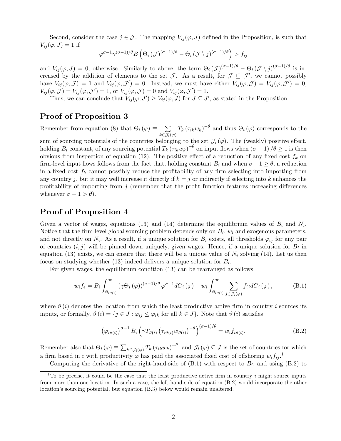Second, consider the case  $j \in \mathcal{J}$ . The mapping  $V_{ij}(\varphi, J)$  defined in the Proposition, is such that  $V_{ij}(\varphi, J) = 1$  if

$$
\varphi^{\sigma-1}\gamma^{(\sigma-1)/\theta}B\left(\Theta_i(\mathcal{J})^{(\sigma-1)/\theta}-\Theta_i(\mathcal{J}\setminus j)^{(\sigma-1)/\theta}\right)>f_{ij}
$$

and  $V_{ij}(\varphi, J) = 0$ , otherwise. Similarly to above, the term  $\Theta_i (\mathcal{J})^{(\sigma-1)/\theta} - \Theta_i (\mathcal{J} \setminus j)^{(\sigma-1)/\theta}$  is increased by the addition of elements to the set  $\mathcal{J}$ . As a result, for  $\mathcal{J} \subseteq \mathcal{J}'$ , we cannot possibly have  $V_{ij}(\varphi, \mathcal{J}) = 1$  and  $V_{ij}(\varphi, \mathcal{J}') = 0$ . Instead, we must have either  $V_{ij}(\varphi, \mathcal{J}) = V_{ij}(\varphi, \mathcal{J}') = 0$ ,  $V_{ij}(\varphi, \mathcal{J}) = V_{ij}(\varphi, \mathcal{J}') = 1$ , or  $V_{ij}(\varphi, \mathcal{J}) = 0$  and  $V_{ij}(\varphi, \mathcal{J}') = 1$ .

Thus, we can conclude that  $V_{ij}(\varphi, J') \geq V_{ij}(\varphi, J)$  for  $J \subseteq J'$ , as stated in the Proposition.

#### Proof of Proposition 3

Remember from equation (8) that  $\Theta_i(\varphi) \equiv \sum_{\alpha}$  $k\epsilon\mathcal{J}_i(\varphi)$  $T_k(\tau_{ik}w_k)^{-\theta}$  and thus  $\Theta_i(\varphi)$  corresponds to the

sum of sourcing potentials of the countries belonging to the set  $\mathcal{J}_i(\varphi)$ . The (weakly) positive effect, holding  $B_i$  constant, of any sourcing potential  $T_k (\tau_{ik} w_k)^{-\theta}$  on input flows when  $(\sigma - 1)/\theta \ge 1$  is then obvious from inspection of equation (12). The positive effect of a reduction of any fixed cost  $f_k$  on firm-level input flows follows from the fact that, holding constant  $B_i$  and when  $\sigma -1 \geq \theta$ , a reduction in a fixed cost  $f_k$  cannot possibly reduce the profitability of any firm selecting into importing from any country j, but it may well increase it directly if  $k = j$  or indirectly if selecting into k enhances the profitability of importing from  $j$  (remember that the profit function features increasing differences whenever  $\sigma - 1 > \theta$ ).

### Proof of Proposition 4

Given a vector of wages, equations (13) and (14) determine the equilibrium values of  $B_i$  and  $N_i$ . Notice that the firm-level global sourcing problem depends only on  $B_i$ ,  $w_i$  and exogenous parameters, and not directly on  $N_i$ . As a result, if a unique solution for  $B_i$  exists, all thresholds  $\tilde{\varphi}_{ij}$  for any pair of countries  $(i, j)$  will be pinned down uniquely, given wages. Hence, if a unique solution for  $B_i$  in equation (13) exists, we can ensure that there will be a unique value of  $N_i$  solving (14). Let us then focus on studying whether (13) indeed delivers a unique solution for  $B_i$ .

For given wages, the equilibrium condition (13) can be rearranged as follows

$$
w_i f_e = B_i \int_{\tilde{\varphi}_{i\vartheta(i)}}^{\infty} (\gamma \Theta_i(\varphi))^{(\sigma-1)/\theta} \varphi^{\sigma-1} dG_i(\varphi) - w_i \int_{\tilde{\varphi}_{i\vartheta(i)}}^{\infty} \sum_{j \in \mathcal{J}_i(\varphi)} f_{ij} dG_i(\varphi), \tag{B.1}
$$

where  $\vartheta$  (i) denotes the location from which the least productive active firm in country i sources its inputs, or formally,  $\vartheta(i) = \{j \in J : \tilde{\varphi}_{ij} \leq \tilde{\varphi}_{ik} \text{ for all } k \in J\}$ . Note that  $\vartheta(i)$  satisfies

$$
\left(\tilde{\varphi}_{i\vartheta(i)}\right)^{\sigma-1}B_i\left(\gamma T_{\vartheta(i)}\left(\tau_{i\vartheta(i)}w_{\vartheta(i)}\right)^{-\theta}\right)^{(\sigma-1)/\theta} = w_if_{i\vartheta(i)}.
$$
\n(B.2)

Remember also that  $\Theta_i(\varphi) \equiv \sum_{k \in \mathcal{J}_i(\varphi)} T_k (\tau_{ik} w_k)^{-\theta}$ , and  $\mathcal{J}_i(\varphi) \subseteq J$  is the set of countries for which a firm based in i with productivity  $\varphi$  has paid the associated fixed cost of offshoring  $w_i f_{ij}$ .<sup>1</sup>

Computing the derivative of the right-hand-side of  $(B.1)$  with respect to  $B_i$ , and using  $(B.2)$  to

<sup>&</sup>lt;sup>1</sup>To be precise, it could be the case that the least productive active firm in country i might source inputs from more than one location. In such a case, the left-hand-side of equation (B.2) would incorporate the other location's sourcing potential, but equation (B.3) below would remain unaltered.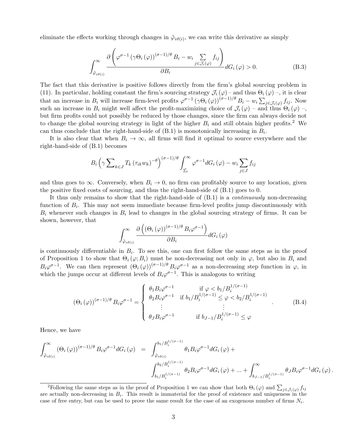eliminate the effects working through changes in  $\tilde{\varphi}_{i\vartheta(i)}$ , we can write this derivative as simply

$$
\int_{\tilde{\varphi}_{i\vartheta(i)}} \frac{\partial \left(\varphi^{\sigma-1} \left(\gamma \Theta_i \left(\varphi\right)\right)^{(\sigma-1)/\theta} B_i - w_i \sum_{j \in \mathcal{J}_i(\varphi)} f_{ij}\right)}{\partial B_i} dG_i(\varphi) > 0.
$$
\n(B.3)

The fact that this derivative is positive follows directly from the firm's global sourcing problem in (11). In particular, holding constant the firm's sourcing strategy  $\mathcal{J}_i(\varphi)$  – and thus  $\Theta_i(\varphi)$  –, it is clear that an increase in  $B_i$  will increase firm-level profits  $\varphi^{\sigma-1} (\gamma \Theta_i (\varphi))^{(\sigma-1)/\theta} B_i - w_i \sum_{j \in \mathcal{J}_i(\varphi)} f_{ij}$ . Now such an increase in  $B_i$  might well affect the profit-maximizing choice of  $\mathcal{J}_i(\varphi)$  – and thus  $\Theta_i(\varphi)$  –, but firm profits could not possibly be reduced by those changes, since the firm can always decide not to change the global sourcing strategy in light of the higher  $B_i$  and still obtain higher profits.<sup>2</sup> We can thus conclude that the right-hand-side of  $(B.1)$  is monotonically increasing in  $B_i$ .

It is also clear that when  $B_i \to \infty$ , all firms will find it optimal to source everywhere and the right-hand-side of (B.1) becomes

$$
B_i\left(\gamma \sum\nolimits_{k\in J} T_k \left(\tau_{ik} w_k\right)^{-\theta}\right)^{(\sigma-1)/\theta} \int_{\underline{\varphi}_i}^{\infty} \varphi^{\sigma-1} dG_i\left(\varphi\right) - w_i \sum\nolimits_{j\in J} f_{ij}
$$

and thus goes to  $\infty$ . Conversely, when  $B_i \to 0$ , no firm can profitably source to any location, given the positive fixed costs of sourcing, and thus the right-hand-side of (B.1) goes to 0.

It thus only remains to show that the right-hand-side of  $(B.1)$  is a *continuously* non-decreasing function of  $B_i$ . This may not seem immediate because firm-level profits jump discontinuously with  $B_i$  whenever such changes in  $B_i$  lead to changes in the global sourcing strategy of firms. It can be shown, however, that

$$
\int_{\tilde{\varphi}_{i\vartheta(i)}} \frac{\partial \left( (\Theta_i(\varphi))^{(\sigma-1)/\theta} B_i \varphi^{\sigma-1} \right)}{\partial B_i} dG_i(\varphi)
$$

is continuously differentiable in  $B_i$ . To see this, one can first follow the same steps as in the proof of Proposition 1 to show that  $\Theta_i(\varphi; B_i)$  must be non-decreasing not only in  $\varphi$ , but also in  $B_i$  and  $B_i\varphi^{\sigma-1}$ . We can then represent  $(\Theta_i(\varphi))^{(\sigma-1)/\theta}B_i\varphi^{\sigma-1}$  as a non-decreasing step function in  $\varphi$ , in which the jumps occur at different levels of  $B_i\varphi^{\sigma-1}$ . This is analogous to writing

$$
(\Theta_i(\varphi))^{(\sigma-1)/\theta} B_i \varphi^{\sigma-1} = \begin{cases} \theta_1 B_i \varphi^{\sigma-1} & \text{if } \varphi < b_1 / B_i^{1/(\sigma-1)} \\ \theta_2 B_i \varphi^{\sigma-1} & \text{if } b_1 / B_i^{1/(\sigma-1)} \le \varphi < b_2 / B_i^{1/(\sigma-1)} \\ \vdots & \vdots \\ \theta_J B_i \varphi^{\sigma-1} & \text{if } b_{J-1} / B_i^{1/(\sigma-1)} \le \varphi \end{cases} (B.4)
$$

Hence, we have

$$
\int_{\tilde{\varphi}_{i\vartheta(i)}}^{\infty} (\Theta_i(\varphi))^{(\sigma-1)/\theta} B_i \varphi^{\sigma-1} dG_i(\varphi) = \int_{\tilde{\varphi}_{i\vartheta(i)}}^{b_1/B_i^{1/(\sigma-1)}} \theta_1 B_i \varphi^{\sigma-1} dG_i(\varphi) + \int_{b_1/B_i^{1/(\sigma-1)}}^{b_2/B_i^{1/(\sigma-1)}} \theta_2 B_i \varphi^{\sigma-1} dG_i(\varphi) + ... + \int_{b_{J-1}/B_i^{1/(\sigma-1)}}^{\infty} \theta_J B_i \varphi^{\sigma-1} dG_i(\varphi).
$$

<sup>&</sup>lt;sup>2</sup>Following the same steps as in the proof of Proposition 1 we can show that both  $\Theta_i(\varphi)$  and  $\sum_{j\in\mathcal{J}_i(\varphi)} f_{ij}$ are actually non-decreasing in  $B_i$ . This result is immaterial for the proof of existence and uniqueness in the case of free entry, but can be used to prove the same result for the case of an exogenous number of firms  $N_i$ .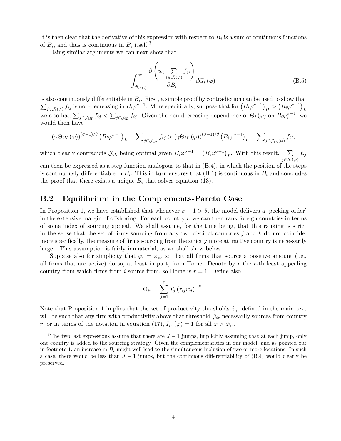It is then clear that the derivative of this expression with respect to  $B_i$  is a sum of continuous functions of  $B_i$ , and thus is continuous in  $B_i$  itself.<sup>3</sup>

Using similar arguments we can next show that

$$
\int_{\tilde{\varphi}_{i\vartheta(i)}}^{\infty} \frac{\partial \left(w_i \sum_{j \in \mathcal{J}_i(\varphi)} f_{ij}\right)}{\partial B_i} dG_i(\varphi) \tag{B.5}
$$

is also continuously differentiable in  $B_i$ . First, a simple proof by contradiction can be used to show that  $\sum_{j\in\mathcal{J}_i(\varphi)} f_{ij}$  is non-decreasing in  $B_i\varphi^{\sigma-1}$ . More specifically, suppose that for  $(B_i\varphi^{\sigma-1})_H > (B_i\varphi^{\sigma-1})_L$ we also had  $\sum_{j\in\mathcal{J}_{iH}}f_{ij} < \sum_{j\in\mathcal{J}_{iL}}f_{ij}$ . Given the non-decreasing dependence of  $\Theta_i(\varphi)$  on  $B_i\varphi_i^{\sigma-1}$ , we would then have

$$
(\gamma \Theta_{iH}(\varphi))^{(\sigma-1)/\theta} \left(B_i \varphi^{\sigma-1}\right)_L - \sum\nolimits_{j \in \mathcal{J}_{iH}} f_{ij} > (\gamma \Theta_{iL}(\varphi))^{(\sigma-1)/\theta} \left(B_i \varphi^{\sigma-1}\right)_L - \sum\nolimits_{j \in \mathcal{J}_{iL}(\varphi)} f_{ij},
$$

which clearly contradicts  $\mathcal{J}_{iL}$  being optimal given  $B_i\varphi^{\sigma-1} = (B_i\varphi^{\sigma-1})_L$ . With this result,  $\sum_{i=1}^{n}$  $j\epsilon\mathcal{J}_i(\varphi)$  $f_{ij}$ 

can then be expressed as a step function analogous to that in (B.4), in which the position of the steps is continuously differentiable in  $B_i$ . This in turn ensures that  $(B.1)$  is continuous in  $B_i$  and concludes the proof that there exists a unique  $B_i$  that solves equation (13).

### B.2 Equilibrium in the Complements-Pareto Case

In Proposition 1, we have established that whenever  $\sigma - 1 > \theta$ , the model delivers a 'pecking order' in the extensive margin of offshoring. For each country  $i$ , we can then rank foreign countries in terms of some index of sourcing appeal. We shall assume, for the time being, that this ranking is strict in the sense that the set of firms sourcing from any two distinct countries j and k do not coincide; more specifically, the measure of firms sourcing from the strictly more attractive country is necessarily larger. This assumption is fairly immaterial, as we shall show below.

Suppose also for simplicity that  $\tilde{\varphi}_i = \tilde{\varphi}_{ii}$ , so that all firms that source a positive amount (i.e., all firms that are active) do so, at least in part, from Home. Denote by  $r$  the  $r$ -th least appealing country from which firms from i source from, so Home is  $r = 1$ . Define also

$$
\Theta_{ir} = \sum_{j=1}^r T_j (\tau_{ij} w_j)^{-\theta}.
$$

Note that Proposition 1 implies that the set of productivity thresholds  $\tilde{\varphi}_{ir}$  defined in the main text will be such that any firm with productivity above that threshold  $\tilde{\varphi}_{ir}$  necessarily sources from country r, or in terms of the notation in equation (17),  $I_{ir}(\varphi) = 1$  for all  $\varphi > \tilde{\varphi}_{ir}$ .

<sup>&</sup>lt;sup>3</sup>The two last expressions assume that there are  $J-1$  jumps, implicitly assuming that at each jump, only one country is added to the sourcing strategy. Given the complementarities in our model, and as pointed out in footnote 1, an increase in  $B_i$  might well lead to the simultaneous inclusion of two or more locations. In such a case, there would be less than  $J-1$  jumps, but the continuous differentiability of (B.4) would clearly be preserved.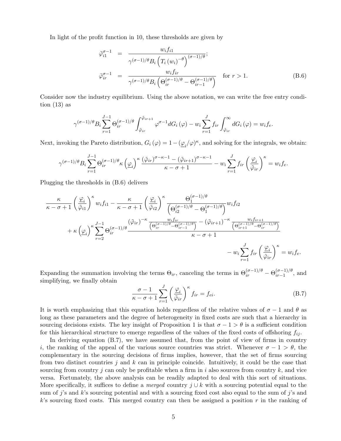In light of the profit function in 10, these thresholds are given by

$$
\tilde{\varphi}_{i1}^{\sigma-1} = \frac{w_i f_{i1}}{\gamma^{(\sigma-1)/\theta} B_i \left( T_i (w_i)^{-\theta} \right)^{(\sigma-1)/\theta}}; \n\tilde{\varphi}_{ir}^{\sigma-1} = \frac{w_i f_{ir}}{\gamma^{(\sigma-1)/\theta} B_i \left( \Theta_{ir}^{(\sigma-1)/\theta} - \Theta_{ir-1}^{(\sigma-1)/\theta} \right)} \quad \text{for } r > 1.
$$
\n(B.6)

Consider now the industry equilibrium. Using the above notation, we can write the free entry condition  $(13)$  as

$$
\gamma^{(\sigma-1)/\theta} B_i \sum_{r=1}^{J-1} \Theta_{ir}^{(\sigma-1)/\theta} \int_{\tilde{\varphi}_{ir}}^{\tilde{\varphi}_{ir+1}} \varphi^{\sigma-1} dG_i(\varphi) - w_i \sum_{r=1}^{J} f_{ir} \int_{\tilde{\varphi}_{ir}}^{\infty} dG_i(\varphi) = w_i f_e.
$$

Next, invoking the Pareto distribution,  $G_i(\varphi) = 1 - (\underline{\varphi}_i/\varphi)^{\kappa}$ , and solving for the integrals, we obtain:

$$
\gamma^{(\sigma-1)/\theta}B_i\sum_{r=1}^{J-1}\Theta_{ir}^{(\sigma-1)/\theta}\kappa\left(\underline{\varphi}_i\right)^{\kappa}\frac{\left(\tilde{\varphi}_{ir}\right)^{\sigma-\kappa-1}-\left(\tilde{\varphi}_{ir+1}\right)^{\sigma-\kappa-1}}{\kappa-\sigma+1}-w_i\sum_{r=1}^{J}f_{ir}\left(\frac{\underline{\varphi}_i}{\tilde{\varphi}_{ir}}\right)^{\kappa}=w_i f_e.
$$

Plugging the thresholds in (B.6) delivers

$$
\frac{\kappa}{\kappa - \sigma + 1} \left(\frac{\varphi_i}{\tilde{\varphi}_{i1}}\right)^{\kappa} w_i f_{i1} - \frac{\kappa}{\kappa - \sigma + 1} \left(\frac{\varphi_i}{\tilde{\varphi}_{i2}}\right)^{\kappa} \frac{\Theta_1^{(\sigma-1)/\theta}}{\left(\Theta_{i2}^{(\sigma-1)/\theta} - \Theta_1^{(\sigma-1)/\theta}\right)} w_i f_{i2}
$$
\n
$$
+ \kappa \left(\underline{\varphi}_i\right)^{\kappa} \sum_{r=2}^{J-1} \Theta_{ir}^{(\sigma-1)/\theta} \frac{\left(\tilde{\varphi}_{ir}\right)^{-\kappa} \frac{w_i f_{ir}}{\left(\Theta_{ir}^{(\sigma-1)/\theta} - \Theta_{ir-1}^{(\sigma-1)/\theta}\right)} - \left(\tilde{\varphi}_{ir+1}\right)^{-\kappa} \frac{w_i f_{ir+1}}{\left(\Theta_{ir+1}^{(\sigma-1)/\theta} - \Theta_{ir}^{(\sigma-1)/\theta}\right)} - \omega_i \sum_{r=1}^{J} f_{ir} \left(\frac{\varphi_i}{\tilde{\varphi}_{ir}}\right)^{\kappa} = w_i f_e.
$$

Expanding the summation involving the terms  $\Theta_{ir}$ , canceling the terms in  $\Theta_{ir}^{(\sigma-1)/\theta} - \Theta_{ir-1}^{(\sigma-1)/\theta}$  $\frac{(\sigma-1)/\sigma}{i r-1}$ , and simplifying, we finally obtain

$$
\frac{\sigma - 1}{\kappa - \sigma + 1} \sum_{r=1}^{J} \left(\frac{\varphi_i}{\tilde{\varphi}_{ir}}\right)^{\kappa} f_{ir} = f_{ei}.
$$
 (B.7)

It is worth emphasizing that this equation holds regardless of the relative values of  $\sigma - 1$  and  $\theta$  as long as these parameters and the degree of heterogeneity in fixed costs are such that a hierarchy in sourcing decisions exists. The key insight of Proposition 1 is that  $\sigma - 1 > \theta$  is a sufficient condition for this hierarchical structure to emerge regardless of the values of the fixed costs of offshoring  $f_{ii}$ .

In deriving equation (B.7), we have assumed that, from the point of view of firms in country i, the ranking of the appeal of the various source countries was strict. Whenever  $\sigma - 1 > \theta$ , the complementary in the sourcing decisions of firms implies, however, that the set of firms sourcing from two distinct countries j and k can in principle coincide. Intuitively, it could be the case that sourcing from country j can only be profitable when a firm in i also sources from country  $k$ , and vice versa. Fortunately, the above analysis can be readily adapted to deal with this sort of situations. More specifically, it suffices to define a *merged* country  $j \cup k$  with a sourcing potential equal to the sum of j's and k's sourcing potential and with a sourcing fixed cost also equal to the sum of j's and  $k$ 's sourcing fixed costs. This merged country can then be assigned a position  $r$  in the ranking of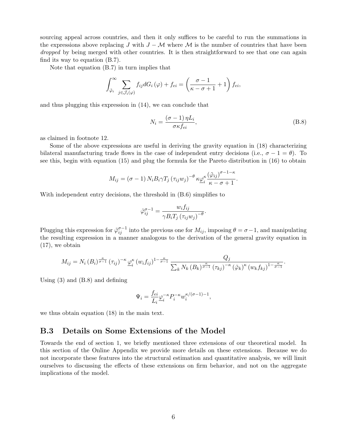sourcing appeal across countries, and then it only suffices to be careful to run the summations in the expressions above replacing J with  $J - M$  where M is the number of countries that have been dropped by being merged with other countries. It is then straightforward to see that one can again find its way to equation (B.7).

Note that equation (B.7) in turn implies that

$$
\int_{\tilde{\varphi}_i}^{\infty} \sum_{j \in \mathcal{J}_i(\varphi)} f_{ij} dG_i(\varphi) + f_{ei} = \left(\frac{\sigma - 1}{\kappa - \sigma + 1} + 1\right) f_{ei},
$$

and thus plugging this expression in (14), we can conclude that

$$
N_i = \frac{(\sigma - 1)\,\eta L_i}{\sigma \kappa f_{ei}},\tag{B.8}
$$

as claimed in footnote 12.

Some of the above expressions are useful in deriving the gravity equation in (18) characterizing bilateral manufacturing trade flows in the case of independent entry decisions (i.e.,  $\sigma - 1 = \theta$ ). To see this, begin with equation (15) and plug the formula for the Pareto distribution in (16) to obtain

$$
M_{ij} = (\sigma - 1) N_i B_i \gamma T_j (\tau_{ij} w_j)^{-\theta} \kappa \underline{\varphi}_i^{\kappa} \frac{(\tilde{\varphi}_{ij})^{\sigma - 1 - \kappa}}{\kappa - \sigma + 1}.
$$

With independent entry decisions, the threshold in (B.6) simplifies to

$$
\tilde{\varphi}_{ij}^{\sigma-1} = \frac{w_i f_{ij}}{\gamma B_i T_j \left(\tau_{ij} w_j\right)^{-\theta}}
$$

.

Plugging this expression for  $\tilde{\varphi}_{ij}^{\sigma-1}$  into the previous one for  $M_{ij}$ , imposing  $\theta = \sigma - 1$ , and manipulating the resulting expression in a manner analogous to the derivation of the general gravity equation in (17), we obtain

$$
M_{ij} = N_i (B_i)^{\frac{\kappa}{\sigma-1}} (\tau_{ij})^{-\kappa} \underline{\varphi}_i^{\kappa} (w_i f_{ij})^{1-\frac{\kappa}{\sigma-1}} \frac{Q_j}{\sum_k N_k (B_k)^{\frac{\kappa}{\sigma-1}} (\tau_{kj})^{-\kappa} (\tilde{\varphi}_k)^{\kappa} (w_k f_{kj})^{1-\frac{\kappa}{\sigma-1}}}.
$$

Using (3) and (B.8) and defining

$$
\Psi_i = \frac{fe_i}{L_i} \underline{\varphi}_i^{-\kappa} P_i^{-\kappa} w_i^{\kappa/(\sigma-1)-1},
$$

we thus obtain equation (18) in the main text.

#### B.3 Details on Some Extensions of the Model

Towards the end of section 1, we briefly mentioned three extensions of our theoretical model. In this section of the Online Appendix we provide more details on these extensions. Because we do not incorporate these features into the structural estimation and quantitative analysis, we will limit ourselves to discussing the effects of these extensions on firm behavior, and not on the aggregate implications of the model.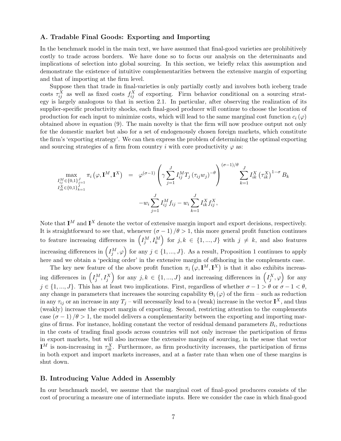#### A. Tradable Final Goods: Exporting and Importing

In the benchmark model in the main text, we have assumed that final-good varieties are prohibitively costly to trade across borders. We have done so to focus our analysis on the determinants and implications of selection into global sourcing. In this section, we briefly relax this assumption and demonstrate the existence of intuitive complementarities between the extensive margin of exporting and that of importing at the firm level.

Suppose then that trade in final-varieties is only partially costly and involves both iceberg trade costs  $\tau_{ij}^X$  as well as fixed costs  $f_{ij}^X$  of exporting. Firm behavior conditional on a sourcing strategy is largely analogous to that in section 2.1. In particular, after observing the realization of its supplier-specific productivity shocks, each final-good producer will continue to choose the location of production for each input to minimize costs, which will lead to the same marginal cost function  $c_i(\varphi)$ obtained above in equation (9). The main novelty is that the firm will now produce output not only for the domestic market but also for a set of endogenously chosen foreign markets, which constitute the firm's 'exporting strategy'. We can then express the problem of determining the optimal exporting and sourcing strategies of a firm from country i with core productivity  $\varphi$  as:

$$
\max_{\substack{I_{ij}^M \in \{0,1\}_{j=1}^J \\ I_{ik}^X \in \{0,1\}_{k=1}^J}} \pi_i(\varphi, \mathbf{I}^M, \mathbf{I}^X) = \varphi^{(\sigma-1)} \left( \gamma \sum_{j=1}^J I_{ij}^M T_j (\tau_{ij} w_j)^{-\theta} \right)^{(\sigma-1)/\theta} \sum_{k=1}^J I_{ik}^X (\tau_{ik}^X)^{1-\sigma} B_k
$$

$$
-w_i \sum_{j=1}^J I_{ij}^M f_{ij} - w_i \sum_{k=1}^J I_{ik}^X f_{ij}^X,
$$

Note that  $I^M$  and  $I^X$  denote the vector of extensive margin import and export decisions, respectively. It is straightforward to see that, whenever  $(\sigma - 1)/\theta > 1$ , this more general profit function continues to feature increasing differences in  $(I_j^M, I_k^M)$  for  $j, k \in \{1, ..., J\}$  with  $j \neq k$ , and also features increasing differences in  $(I_j^M, \varphi)$  for any  $j \in \{1, ..., J\}$ . As a result, Proposition 1 continues to apply here and we obtain a 'pecking order' in the extensive margin of offshoring in the complements case.

The key new feature of the above profit function  $\pi_i(\varphi, \mathbf{I}^M, \mathbf{I}^X)$  is that it also exhibits increasing differences in  $(I_j^M, I_j^X)$  for any  $j, k \in \{1, ..., J\}$  and increasing differences in  $(I_j^X, \varphi)$  for any  $j \in \{1, ..., J\}$ . This has at least two implications. First, regardless of whether  $\sigma - 1 > \theta$  or  $\sigma - 1 < \theta$ , any change in parameters that increases the sourcing capability  $\Theta_i(\varphi)$  of the firm – such as reduction in any  $\tau_{ij}$  or an increase in any  $T_j$  – will necessarily lead to a (weak) increase in the vector  $\mathbf{I}^X$ , and thus (weakly) increase the export margin of exporting. Second, restricting attention to the complements case  $(\sigma - 1)/\theta > 1$ , the model delivers a complementarity between the exporting and importing margins of firms. For instance, holding constant the vector of residual demand parameters  $B_i$ , reductions in the costs of trading final goods across countries will not only increase the participation of firms in export markets, but will also increase the extensive margin of sourcing, in the sense that vector  $\mathbf{I}^M$  is non-increasing in  $\tau_{ik}^X$ . Furthermore, as firm productivity increases, the participation of firms in both export and import markets increases, and at a faster rate than when one of these margins is shut down.

#### B. Introducing Value Added in Assembly

In our benchmark model, we assume that the marginal cost of final-good producers consists of the cost of procuring a measure one of intermediate inputs. Here we consider the case in which final-good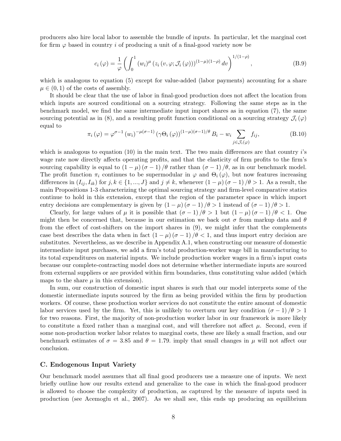producers also hire local labor to assemble the bundle of inputs. In particular, let the marginal cost for firm  $\varphi$  based in country i of producing a unit of a final-good variety now be

$$
c_i(\varphi) = \frac{1}{\varphi} \left( \int_0^1 (w_i)^{\mu} \left( z_i(v, \varphi; \mathcal{J}_i(\varphi)) \right)^{(1-\mu)(1-\rho)} dv \right)^{1/(1-\rho)}, \tag{B.9}
$$

which is analogous to equation (5) except for value-added (labor payments) accounting for a share  $\mu \in (0, 1)$  of the costs of assembly.

It should be clear that the use of labor in final-good production does not affect the location from which inputs are sourced conditional on a sourcing strategy. Following the same steps as in the benchmark model, we find the same intermediate input import shares as in equation (7), the same sourcing potential as in (8), and a resulting profit function conditional on a sourcing strategy  $\mathcal{J}_i(\varphi)$ equal to

$$
\pi_i(\varphi) = \varphi^{\sigma-1}(w_i)^{-\mu(\sigma-1)} (\gamma \Theta_i(\varphi))^{(1-\mu)(\sigma-1)/\theta} B_i - w_i \sum_{j \in \mathcal{J}_i(\varphi)} f_{ij},
$$
\n(B.10)

which is analogous to equation  $(10)$  in the main text. The two main differences are that country i's wage rate now directly affects operating profits, and that the elasticity of firm profits to the firm's sourcing capability is equal to  $(1 - \mu)(\sigma - 1)/\theta$  rather than  $(\sigma - 1)/\theta$ , as in our benchmark model. The profit function  $\pi_i$  continues to be supermodular in  $\varphi$  and  $\Theta_i(\varphi)$ , but now features increasing differences in  $(I_{ij}, I_{ik})$  for  $j, k \in \{1, ..., J\}$  and  $j \neq k$ , whenever  $(1 - \mu)(\sigma - 1)/\theta > 1$ . As a result, the main Propositions 1-3 characterizing the optimal sourcing strategy and firm-level comparative statics continue to hold in this extension, except that the region of the parameter space in which import entry decisions are complementary is given by  $(1 - \mu)(\sigma - 1)/\theta > 1$  instead of  $(\sigma - 1)/\theta > 1$ .

Clearly, for large values of  $\mu$  it is possible that  $(\sigma - 1)/\theta > 1$  but  $(1 - \mu)(\sigma - 1)/\theta < 1$ . One might then be concerned that, because in our estimation we back out  $\sigma$  from markup data and  $\theta$ from the effect of cost-shifters on the import shares in (9), we might infer that the complements case best describes the data when in fact  $(1 - \mu)(\sigma - 1)/\theta < 1$ , and thus import entry decision are substitutes. Nevertheless, as we describe in Appendix A.1, when constructing our measure of domestic intermediate input purchases, we add a firm's total production-worker wage bill in manufacturing to its total expenditures on material inputs. We include production worker wages in a firm's input costs because our complete-contracting model does not determine whether intermediate inputs are sourced from external suppliers or are provided within firm boundaries, thus constituting value added (which maps to the share  $\mu$  in this extension).

In sum, our construction of domestic input shares is such that our model interprets some of the domestic intermediate inputs sourced by the firm as being provided within the firm by production workers. Of course, these production worker services do not constitute the entire amount of domestic labor services used by the firm. Yet, this is unlikely to overturn our key condition  $(\sigma - 1)/\theta > 1$ for two reasons. First, the majority of non-production worker labor in our framework is more likely to constitute a fixed rather than a marginal cost, and will therefore not affect  $\mu$ . Second, even if some non-production worker labor relates to marginal costs, these are likely a small fraction, and our benchmark estimates of  $\sigma = 3.85$  and  $\theta = 1.79$ . imply that small changes in  $\mu$  will not affect our conclusion.

#### C. Endogenous Input Variety

Our benchmark model assumes that all final good producers use a measure one of inputs. We next briefly outline how our results extend and generalize to the case in which the final-good producer is allowed to choose the complexity of production, as captured by the measure of inputs used in production (see Acemoglu et al., 2007). As we shall see, this ends up producing an equilibrium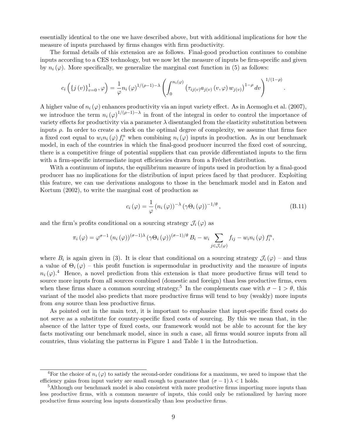essentially identical to the one we have described above, but with additional implications for how the measure of inputs purchased by firms changes with firm productivity.

The formal details of this extension are as follows. Final-good production continues to combine inputs according to a CES technology, but we now let the measure of inputs be firm-specific and given by  $n_i(\varphi)$ . More specifically, we generalize the marginal cost function in (5) as follows:

$$
c_i\left(\{j(v)\}_{v=0}^1, \varphi\right) = \frac{1}{\varphi} n_i\left(\varphi\right)^{1/(\rho-1)-\lambda} \left(\int_0^{n_i(\varphi)} \left(\tau_{ij(v)} a_{j(v)}(v, \varphi) w_{j(v)}\right)^{1-\rho} dv\right)^{1/(1-\rho)}
$$

A higher value of  $n_i (\varphi)$  enhances productivity via an input variety effect. As in Acemoglu et al. (2007), we introduce the term  $n_i(\varphi)^{1/(\rho-1)-\lambda}$  in front of the integral in order to control the importance of variety effects for productivity via a parameter  $\lambda$  disentangled from the elasticity substitution between inputs  $\rho$ . In order to create a check on the optimal degree of complexity, we assume that firms face a fixed cost equal to  $w_i n_i(\varphi) f_i^n$  when combining  $n_i(\varphi)$  inputs in production. As in our benchmark model, in each of the countries in which the final-good producer incurred the fixed cost of sourcing, there is a competitive fringe of potential suppliers that can provide differentiated inputs to the firm with a firm-specific intermediate input efficiencies drawn from a Fréchet distribution.

With a continuum of inputs, the equilibrium measure of inputs used in production by a final-good producer has no implications for the distribution of input prices faced by that producer. Exploiting this feature, we can use derivations analogous to those in the benchmark model and in Eaton and Kortum (2002), to write the marginal cost of production as

$$
c_{i}(\varphi) = \frac{1}{\varphi} (n_{i}(\varphi))^{-\lambda} (\gamma \Theta_{i}(\varphi))^{-1/\theta}, \qquad (B.11)
$$

.

and the firm's profits conditional on a sourcing strategy  $\mathcal{J}_i(\varphi)$  as

$$
\pi_i(\varphi) = \varphi^{\sigma-1} (n_i(\varphi))^{(\sigma-1)\lambda} (\gamma \Theta_i(\varphi))^{(\sigma-1)/\theta} B_i - w_i \sum_{j \in \mathcal{J}_i(\varphi)} f_{ij} - w_i n_i(\varphi) f_i^n,
$$

where  $B_i$  is again given in (3). It is clear that conditional on a sourcing strategy  $\mathcal{J}_i(\varphi)$  – and thus a value of  $\Theta_i(\varphi)$  – this profit function is supermodular in productivity and the measure of inputs  $n_i(\varphi)$ .<sup>4</sup> Hence, a novel prediction from this extension is that more productive firms will tend to source more inputs from all sources combined (domestic and foreign) than less productive firms, even when these firms share a common sourcing strategy.<sup>5</sup> In the complements case with  $\sigma - 1 > \theta$ , this variant of the model also predicts that more productive firms will tend to buy (weakly) more inputs from any source than less productive firms.

As pointed out in the main text, it is important to emphasize that input-specific fixed costs do not serve as a substitute for country-specific fixed costs of sourcing. By this we mean that, in the absence of the latter type of fixed costs, our framework would not be able to account for the key facts motivating our benchmark model, since in such a case, all firms would source inputs from all countries, thus violating the patterns in Figure 1 and Table 1 in the Introduction.

<sup>&</sup>lt;sup>4</sup>For the choice of  $n_i(\varphi)$  to satisfy the second-order conditions for a maximum, we need to impose that the efficiency gains from input variety are small enough to guarantee that  $(\sigma - 1) \lambda < 1$  holds.

<sup>5</sup>Although our benchmark model is also consistent with more productive firms importing more inputs than less productive firms, with a common measure of inputs, this could only be rationalized by having more productive firms sourcing less inputs domestically than less productive firms.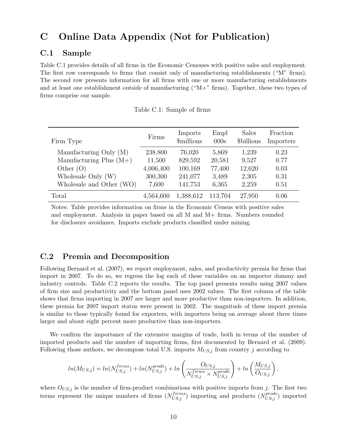## C Online Data Appendix (Not for Publication)

## C.1 Sample

Table C.1 provides details of all firms in the Economic Censuses with positive sales and employment. The first row corresponds to firms that consist only of manufacturing establishments ("M" firms). The second row presents information for all firms with one or more manufacturing establishments and at least one establishment outside of manufacturing ("M+" firms). Together, these two types of firms comprise our sample.

| Firm Type                 | Firms     | Imports<br><i><b>\$millions</b></i> | Empl<br>000s | Sales<br>\$billions | Fraction<br>Importers |
|---------------------------|-----------|-------------------------------------|--------------|---------------------|-----------------------|
| Manufacturing Only (M)    | 238,800   | 76,020                              | 5,869        | 1,239               | 0.23                  |
| Manufacturing Plus $(M+)$ | 11,500    | 829,592                             | 20,581       | 9,527               | 0.77                  |
| Other $(O)$               | 4,006,400 | 100,169                             | 77,400       | 12,620              | 0.03                  |
| Wholesale Only (W)        | 300,300   | 241,077                             | 3,489        | 2,305               | 0.31                  |
| Wholesale and Other (WO)  | 7,600     | 141,753                             | 6,365        | 2,259               | 0.51                  |
| Total                     | 4,564,600 | 1,388,612                           | 113,704      | 27,950              | 0.06                  |

Notes: Table provides information on firms in the Economic Census with positive sales and employment. Analysis in paper based on all M and M+ firms. Numbers rounded for disclosure avoidance. Imports exclude products classified under mining.

### C.2 Premia and Decomposition

Following Bernard et al. (2007), we report employment, sales, and productivity premia for firms that import in 2007. To do so, we regress the log each of these variables on an importer dummy and industry controls. Table C.2 reports the results. The top panel presents results using 2007 values of firm size and productivity and the bottom panel uses 2002 values. The first column of the table shows that firms importing in 2007 are larger and more productive than non-importers. In addition, these premia for 2007 import status were present in 2002. The magnitude of these import premia is similar to those typically found for exporters, with importers being on average about three times larger and about eight percent more productive than non-importers.

We confirm the importance of the extensive margins of trade, both in terms of the number of imported products and the number of importing firms, first documented by Bernard et al. (2009). Following those authors, we decompose total U.S. imports  $M_{US,j}$  from country j according to

$$
ln(M_{US,j}) = ln(N_{US,j}^{firms}) + ln(N_{US,j}^{prods}) + ln\left(\frac{O_{US,j}}{N_{US,j}^{firms} \times N_{US,j}^{prods}}\right) + ln\left(\frac{M_{US,j}}{O_{US,j}}\right),
$$

where  $O_{US,j}$  is the number of firm-product combinations with positive imports from j. The first two terms represent the unique numbers of firms  $(N_{US,j}^{firms})$  importing and products  $(N_{US,j}^{prods})$  imported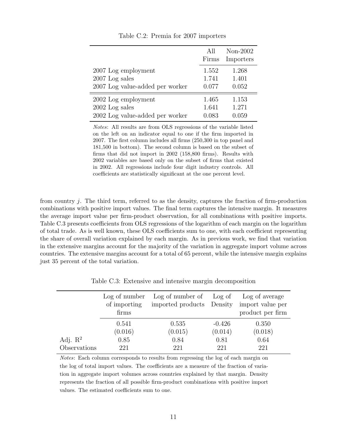|                                 | All<br>Firms | Non-2002<br>Importers |
|---------------------------------|--------------|-----------------------|
| 2007 Log employment             | 1.552        | 1.268                 |
| $2007$ Log sales                | 1.741        | 1.401                 |
| 2007 Log value-added per worker | 0.077        | 0.052                 |
| 2002 Log employment             | 1.465        | 1.153                 |
| $2002$ Log sales                | 1.641        | 1.271                 |
| 2002 Log value-added per worker | 0.083        | 0.059                 |

Table C.2: Premia for 2007 importers

Notes: All results are from OLS regressions of the variable listed on the left on an indicator equal to one if the firm imported in 2007. The first column includes all firms (250,300 in top panel and 181,500 in bottom). The second column is based on the subset of firms that did not import in 2002 (158,800 firms). Results with 2002 variables are based only on the subset of firms that existed in 2002. All regressions include four digit industry controls. All coefficients are statistically significant at the one percent level.

from country  $i$ . The third term, referred to as the density, captures the fraction of firm-production combinations with positive import values. The final term captures the intensive margin. It measures the average import value per firm-product observation, for all combinations with positive imports. Table C.3 presents coefficients from OLS regressions of the logarithm of each margin on the logarithm of total trade. As is well known, these OLS coefficients sum to one, with each coefficient representing the share of overall variation explained by each margin. As in previous work, we find that variation in the extensive margins account for the majority of the variation in aggregate import volume across countries. The extensive margins account for a total of 65 percent, while the intensive margin explains just 35 percent of the total variation.

|                     | Log of number<br>of importing<br>firms | $\text{Log of number of}$ $\text{Log of}$<br>imported products Density |          | Log of average<br>import value per<br>product per firm |
|---------------------|----------------------------------------|------------------------------------------------------------------------|----------|--------------------------------------------------------|
|                     | 0.541                                  | 0.535                                                                  | $-0.426$ | 0.350                                                  |
|                     | (0.016)                                | (0.015)                                                                | (0.014)  | (0.018)                                                |
| Adj. $\mathbb{R}^2$ | 0.85                                   | 0.84                                                                   | 0.81     | 0.64                                                   |
| Observations        | 221                                    | 221                                                                    | 221      | 221                                                    |

Table C.3: Extensive and intensive margin decomposition

Notes: Each column corresponds to results from regressing the log of each margin on the log of total import values. The coefficients are a measure of the fraction of variation in aggregate import volumes across countries explained by that margin. Density represents the fraction of all possible firm-product combinations with positive import values. The estimated coefficients sum to one.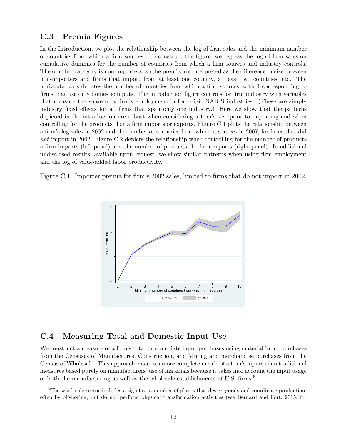### C.3 Premia Figures

In the Introduction, we plot the relationship between the log of firm sales and the minimum number of countries from which a firm sources. To construct the figure, we regress the log of firm sales on cumulative dummies for the number of countries from which a firm sources and industry controls. The omitted category is non-importers, so the premia are interpreted as the difference in size between non-importers and firms that import from at least one country, at least two countries, etc. The horizontal axis denotes the number of countries from which a firm sources, with 1 corresponding to firms that use only domestic inputs. The introduction figure controls for firm industry with variables that measure the share of a firm's employment in four-digit NAICS industries. (These are simply industry fixed effects for all firms that span only one industry.) Here we show that the patterns depicted in the introduction are robust when considering a firm's size prior to importing and when controlling for the products that a firm imports or exports. Figure C.1 plots the relationship between a firm's log sales in 2002 and the number of countries from which it sources in 2007, for firms that did not import in 2002. Figure C.2 depicts the relationship when controlling for the number of products a firm imports (left panel) and the number of products the firm exports (right panel). In additional undisclosed results, available upon request, we show similar patterns when using firm employment and the log of value-added labor productivity.

Figure C.1: Importer premia for firm's 2002 sales, limited to firms that do not import in 2002,



### C.4 Measuring Total and Domestic Input Use

We construct a measure of a firm's total intermediate input purchases using material input purchases from the Censuses of Manufactures, Construction, and Mining and merchandise purchases from the Census of Wholesale. This approach ensures a more complete metric of a firm's inputs than traditional measures based purely on manufacturers' use of materials because it takes into account the input usage of both the manufacturing as well as the wholesale establishments of U.S. firms.<sup>6</sup>

<sup>&</sup>lt;sup>6</sup>The wholesale sector includes a significant number of plants that design goods and coordinate production, often by offshoring, but do not perform physical transformation activities (see Bernard and Fort, 2015, for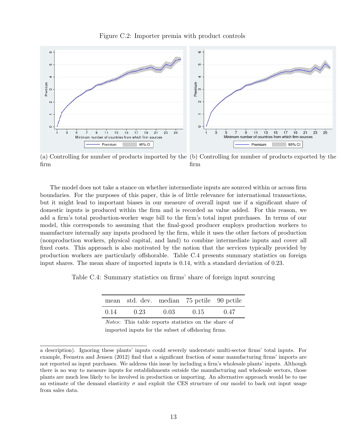



(a) Controlling for number of products imported by the (b) Controlling for number of products exported by the firm firm

The model does not take a stance on whether intermediate inputs are sourced within or across firm boundaries. For the purposes of this paper, this is of little relevance for international transactions, but it might lead to important biases in our measure of overall input use if a significant share of domestic inputs is produced within the firm and is recorded as value added. For this reason, we add a firm's total production-worker wage bill to the firm's total input purchases. In terms of our model, this corresponds to assuming that the final-good producer employs production workers to manufacture internally any inputs produced by the firm, while it uses the other factors of production (nonproduction workers, physical capital, and land) to combine intermediate inputs and cover all fixed costs. This approach is also motivated by the notion that the services typically provided by production workers are particularly offshorable. Table C.4 presents summary statistics on foreign input shares. The mean share of imported inputs is 0.14, with a standard deviation of 0.23.

Table C.4: Summary statistics on firms' share of foreign input sourcing

|      | mean std. dev. median 75 pctile 90 pctile |      |      |      |
|------|-------------------------------------------|------|------|------|
| 0.14 | 0.23                                      | 0.03 | 0.15 | 0.47 |

Notes: This table reports statistics on the share of imported inputs for the subset of offshoring firms.

a description). Ignoring these plants' inputs could severely understate multi-sector firms' total inputs. For example, Feenstra and Jensen (2012) find that a significant fraction of some manufacturing firms' imports are not reported as input purchases. We address this issue by including a firm's wholesale plants' inputs. Although there is no way to measure inputs for establishments outside the manufacturing and wholesale sectors, those plants are much less likely to be involved in production or importing. An alternative approach would be to use an estimate of the demand elasticity  $\sigma$  and exploit the CES structure of our model to back out input usage from sales data.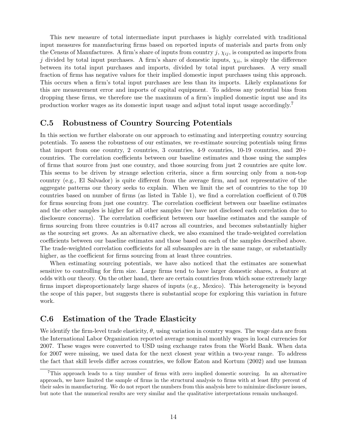This new measure of total intermediate input purchases is highly correlated with traditional input measures for manufacturing firms based on reported inputs of materials and parts from only the Census of Manufactures. A firm's share of inputs from country  $j$ ,  $\chi_{ij}$ , is computed as imports from j divided by total input purchases. A firm's share of domestic inputs,  $\chi_{ii}$ , is simply the difference between its total input purchases and imports, divided by total input purchases. A very small fraction of firms has negative values for their implied domestic input purchases using this approach. This occurs when a firm's total input purchases are less than its imports. Likely explanations for this are measurement error and imports of capital equipment. To address any potential bias from dropping these firms, we therefore use the maximum of a firm's implied domestic input use and its production worker wages as its domestic input usage and adjust total input usage accordingly.<sup>7</sup>

### C.5 Robustness of Country Sourcing Potentials

In this section we further elaborate on our approach to estimating and interpreting country sourcing potentials. To assess the robustness of our estimates, we re-estimate sourcing potentials using firms that import from one country, 2 countries, 3 countries,  $4-9$  countries,  $10-19$  countries, and  $20+$ countries. The correlation coefficients between our baseline estimates and those using the samples of firms that source from just one country, and those sourcing from just 2 countries are quite low. This seems to be driven by strange selection criteria, since a firm sourcing only from a non-top country (e.g., El Salvador) is quite different from the average firm, and not representative of the aggregate patterns our theory seeks to explain. When we limit the set of countries to the top 10 countries based on number of firms (as listed in Table 1), we find a correlation coefficient of 0.708 for firms sourcing from just one country. The correlation coefficient between our baseline estimates and the other samples is higher for all other samples (we have not disclosed each correlation due to disclosure concerns). The correlation coefficient between our baseline estimates and the sample of firms sourcing from three countries is 0.417 across all countries, and becomes substantially higher as the sourcing set grows. As an alternative check, we also examined the trade-weighted correlation coefficients between our baseline estimates and those based on each of the samples described above. The trade-weighted correlation coefficients for all subsamples are in the same range, or substantially higher, as the coefficient for firms sourcing from at least three countries.

When estimating sourcing potentials, we have also noticed that the estimates are somewhat sensitive to controlling for firm size. Large firms tend to have larger domestic shares, a feature at odds with our theory. On the other hand, there are certain countries from which some extremely large firms import disproportionately large shares of inputs (e.g., Mexico). This heterogeneity is beyond the scope of this paper, but suggests there is substantial scope for exploring this variation in future work.

### C.6 Estimation of the Trade Elasticity

We identify the firm-level trade elasticity,  $\theta$ , using variation in country wages. The wage data are from the International Labor Organization reported average nominal monthly wages in local currencies for 2007. These wages were converted to USD using exchange rates from the World Bank. When data for 2007 were missing, we used data for the next closest year within a two-year range. To address the fact that skill levels differ across countries, we follow Eaton and Kortum (2002) and use human

<sup>7</sup>This approach leads to a tiny number of firms with zero implied domestic sourcing. In an alternative approach, we have limited the sample of firms in the structural analysis to firms with at least fifty percent of their sales in manufacturing. We do not report the numbers from this analysis here to minimize disclosure issues, but note that the numerical results are very similar and the qualitative interpretations remain unchanged.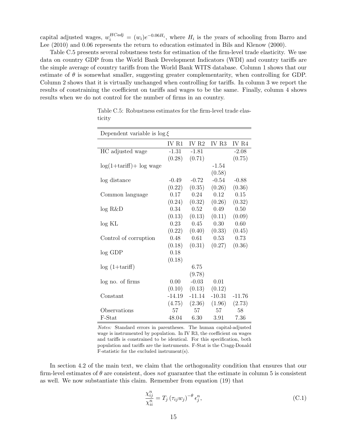capital adjusted wages,  $w_i^{HCadj} = (w_i)e^{-0.06H_i}$ , where  $H_i$  is the years of schooling from Barro and Lee (2010) and 0.06 represents the return to education estimated in Bils and Klenow (2000).

Table C.5 presents several robustness tests for estimation of the firm-level trade elasticity. We use data on country GDP from the World Bank Development Indicators (WDI) and country tariffs are the simple average of country tariffs from the World Bank WITS database. Column 1 shows that our estimate of  $\theta$  is somewhat smaller, suggesting greater complementarity, when controlling for GDP. Column 2 shows that it is virtually unchanged when controlling for tariffs. In column 3 we report the results of constraining the coefficient on tariffs and wages to be the same. Finally, column 4 shows results when we do not control for the number of firms in an country.

| Dependent variable is $\log \xi$ |          |                  |          |          |  |  |  |  |
|----------------------------------|----------|------------------|----------|----------|--|--|--|--|
|                                  | IV R1    | IV <sub>R2</sub> | IV R3    | IV R4    |  |  |  |  |
| HC adjusted wage                 | $-1.31$  | $-1.81$          |          | $-2.08$  |  |  |  |  |
|                                  | (0.28)   | (0.71)           |          | (0.75)   |  |  |  |  |
| $log(1+tariff)$ + $log$ wage     |          |                  | $-1.54$  |          |  |  |  |  |
|                                  |          |                  | (0.58)   |          |  |  |  |  |
| log distance                     | $-0.49$  | $-0.72$          | $-0.54$  | $-0.88$  |  |  |  |  |
|                                  | (0.22)   | (0.35)           | (0.26)   | (0.36)   |  |  |  |  |
| Common language                  | 0.17     | 0.24             | 0.12     | 0.15     |  |  |  |  |
|                                  | (0.24)   | (0.32)           | (0.26)   | (0.32)   |  |  |  |  |
| log R&D                          | 0.34     | 0.52             | 0.49     | 0.50     |  |  |  |  |
|                                  | (0.13)   | (0.13)           | (0.11)   | (0.09)   |  |  |  |  |
| log KL                           | 0.23     | 0.45             | 0.30     | 0.60     |  |  |  |  |
|                                  | (0.22)   | (0.40)           | (0.33)   | (0.45)   |  |  |  |  |
| Control of corruption            | 0.48     | 0.61             | 0.53     | 0.73     |  |  |  |  |
|                                  | (0.18)   | (0.31)           | (0.27)   | (0.36)   |  |  |  |  |
| $log$ GDP                        | 0.18     |                  |          |          |  |  |  |  |
|                                  | (0.18)   |                  |          |          |  |  |  |  |
| $log(1+tariff)$                  |          | 6.75             |          |          |  |  |  |  |
|                                  |          | (9.78)           |          |          |  |  |  |  |
| log no. of firms                 | 0.00     | $-0.03$          | 0.01     |          |  |  |  |  |
|                                  | (0.10)   | (0.13)           | (0.12)   |          |  |  |  |  |
| Constant                         | $-14.19$ | $-11.14$         | $-10.31$ | $-11.76$ |  |  |  |  |
|                                  | (4.75)   | (2.36)           | (1.96)   | (2.73)   |  |  |  |  |
| Observations                     | 57       | 57               | 57       | 58       |  |  |  |  |
| F-Stat                           | 48.04    | 6.30             | 3.91     | 7.36     |  |  |  |  |

Table C.5: Robustness estimates for the firm-level trade elasticity

Notes: Standard errors in parentheses. The human capital-adjusted wage is instrumented by population. In IV R3, the coefficient on wages and tariffs is constrained to be identical. For this specification, both population and tariffs are the instruments. F-Stat is the Cragg-Donald F-statistic for the excluded instrument(s).

In section 4.2 of the main text, we claim that the orthogonality condition that ensures that our firm-level estimates of  $\theta$  are consistent, does not guarantee that the estimate in column 5 is consistent as well. We now substantiate this claim. Remember from equation (19) that

$$
\frac{\chi_{ij}^n}{\chi_{ii}^n} = T_j \left( \tau_{ij} w_j \right)^{-\theta} \epsilon_j^n, \tag{C.1}
$$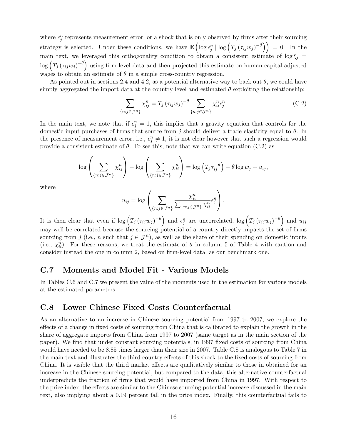where  $\epsilon_j^n$  represents measurement error, or a shock that is only observed by firms after their sourcing strategy is selected. Under these conditions, we have  $\mathbb{E}\left(\log \epsilon_j^n \mid \log \left(T_j(\tau_{ij}w_j)^{-\theta}\right)\right) = 0$ . In the main text, we leveraged this orthogonality condition to obtain a consistent estimate of  $\log \xi_j$  $\log\left(T_j\left(\tau_{ij}w_j\right)^{-\theta}\right)$  using firm-level data and then projected this estimate on human-capital-adjusted wages to obtain an estimate of  $\theta$  in a simple cross-country regression.

As pointed out in sections 2.4 and 4.2, as a potential alternative way to back out  $\theta$ , we could have simply aggregated the import data at the country-level and estimated  $\theta$  exploiting the relationship:

$$
\sum_{\{n:j\in\mathcal{J}^n\}} \chi_{ij}^n = T_j \left(\tau_{ij} w_j\right)^{-\theta} \sum_{\{n:j\in\mathcal{J}^n\}} \chi_{ii}^n \epsilon_j^n. \tag{C.2}
$$

In the main text, we note that if  $\epsilon_j^n = 1$ , this implies that a gravity equation that controls for the domestic input purchases of firms that source from j should deliver a trade elasticity equal to  $\theta$ . In the presence of measurement error, i.e.,  $\epsilon_j^n \neq 1$ , it is not clear however that such a regression would provide a consistent estimate of  $\theta$ . To see this, note that we can write equation (C.2) as

$$
\log\left(\sum_{\{n:j\in\mathcal{J}^n\}}\chi_{ij}^n\right)-\log\left(\sum_{\{n:j\in\mathcal{J}^n\}}\chi_{ii}^n\right)=\log\left(T_j\tau_{ij}^{-\theta}\right)-\theta\log w_j+u_{ij},
$$

where

$$
u_{ij} = \log \left( \sum_{\{n:j \in \mathcal{J}^n\}} \frac{\chi_{ii}^n}{\sum_{\{n:j \in \mathcal{J}^n\}} \chi_{ii}^n} \epsilon_j^n \right).
$$

It is then clear that even if  $\log (T_j (\tau_{ij} w_j)^{-\theta})$  and  $\epsilon_j^n$  are uncorrelated,  $\log (T_j (\tau_{ij} w_j)^{-\theta})$  and  $u_{ij}$ may well be correlated because the sourcing potential of a country directly impacts the set of firms sourcing from j (i.e., n such that  $j \in \mathcal{J}^n$ ), as well as the share of their spending on domestic inputs (i.e.,  $\chi_{ii}^n$ ). For these reasons, we treat the estimate of  $\theta$  in column 5 of Table 4 with caution and consider instead the one in column 2, based on firm-level data, as our benchmark one.

#### C.7 Moments and Model Fit - Various Models

In Tables C.6 and C.7 we present the value of the moments used in the estimation for various models at the estimated parameters.

#### C.8 Lower Chinese Fixed Costs Counterfactual

As an alternative to an increase in Chinese sourcing potential from 1997 to 2007, we explore the effects of a change in fixed costs of sourcing from China that is calibrated to explain the growth in the share of aggregate imports from China from 1997 to 2007 (same target as in the main section of the paper). We find that under constant sourcing potentials, in 1997 fixed costs of sourcing from China would have needed to be 8.85 times larger than their size in 2007. Table C.8 is analogous to Table 7 in the main text and illustrates the third country effects of this shock to the fixed costs of sourcing from China. It is visible that the third market effects are qualitatively similar to those in obtained for an increase in the Chinese sourcing potential, but compared to the data, this alternative counterfactual underpredicts the fraction of firms that would have imported from China in 1997. With respect to the price index, the effects are similar to the Chinese sourcing potential increase discussed in the main text, also implying about a 0.19 percent fall in the price index. Finally, this counterfactual fails to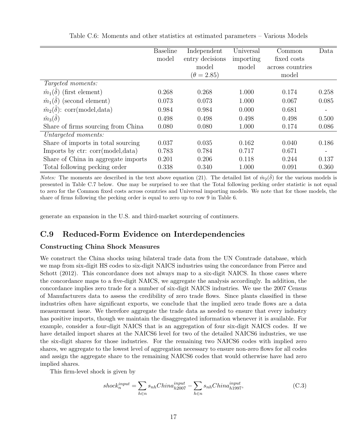|                                         | <b>Baseline</b> | Independent       | Universal | Common           | Data              |
|-----------------------------------------|-----------------|-------------------|-----------|------------------|-------------------|
|                                         | model           | entry decisions   | importing | fixed costs      |                   |
|                                         |                 | model             | model     | across countries |                   |
|                                         |                 | $(\theta = 2.85)$ |           | model            |                   |
| <i>Targeted moments:</i>                |                 |                   |           |                  |                   |
| $\hat{m}_1(\delta)$ (first element)     | 0.268           | 0.268             | 1.000     | 0.174            | 0.258             |
| $\hat{m}_1(\delta)$ (second element)    | 0.073           | 0.073             | 1.000     | 0.067            | 0.085             |
| $\hat{m}_2(\delta)$ : corr(model, data) | 0.984           | 0.984             | 0.000     | 0.681            | $\qquad \qquad -$ |
| $\hat{m}_3(\delta)$                     | 0.498           | 0.498             | 0.498     | 0.498            | 0.500             |
| Share of firms sourcing from China      | 0.080           | 0.080             | 1.000     | 0.174            | 0.086             |
| Untargeted moments:                     |                 |                   |           |                  |                   |
| Share of imports in total sourcing      | 0.037           | 0.035             | 0.162     | 0.040            | 0.186             |
| Imports by ctr: corr(model, data)       | 0.783           | 0.784             | 0.717     | 0.671            |                   |
| Share of China in aggregate imports     | 0.201           | 0.206             | 0.118     | 0.244            | 0.137             |
| Total following pecking order           | 0.338           | 0.340             | 1.000     | 0.091            | 0.360             |

Table C.6: Moments and other statistics at estimated parameters – Various Models

*Notes:* The moments are described in the text above equation (21). The detailed list of  $\hat{m}_2(\hat{\delta})$  for the various models is presented in Table C.7 below. One may be surprised to see that the Total following pecking order statistic is not equal to zero for the Common fixed costs across countries and Universal importing models. We note that for those models, the share of firms following the pecking order is equal to zero up to row 9 in Table 6.

generate an expansion in the U.S. and third-market sourcing of continuers.

### C.9 Reduced-Form Evidence on Interdependencies

#### Constructing China Shock Measures

We construct the China shocks using bilateral trade data from the UN Comtrade database, which we map from six-digit HS codes to six-digit NAICS industries using the concordance from Pierce and Schott (2012). This concordance does not always map to a six-digit NAICS. In those cases where the concordance maps to a five-digit NAICS, we aggregate the analysis accordingly. In addition, the concordance implies zero trade for a number of six-digit NAICS industries. We use the 2007 Census of Manufacturers data to assess the credibility of zero trade flows. Since plants classified in these industries often have significant exports, we conclude that the implied zero trade flows are a data measurement issue. We therefore aggregate the trade data as needed to ensure that every industry has positive imports, though we maintain the disaggregated information whenever it is available. For example, consider a four-digit NAICS that is an aggregation of four six-digit NAICS codes. If we have detailed import shares at the NAICS6 level for two of the detailed NAICS6 industries, we use the six-digit shares for those industries. For the remaining two NAICS6 codes with implied zero shares, we aggregate to the lowest level of aggregation necessary to ensure non-zero flows for all codes and assign the aggregate share to the remaining NAICS6 codes that would otherwise have had zero implied shares.

This firm-level shock is given by

$$
shock_n^{input} = \sum_{h \in n} s_{nh} China_{h2007}^{input} - \sum_{h \in n} s_{nh} China_{h1997}^{input},
$$
\n(C.3)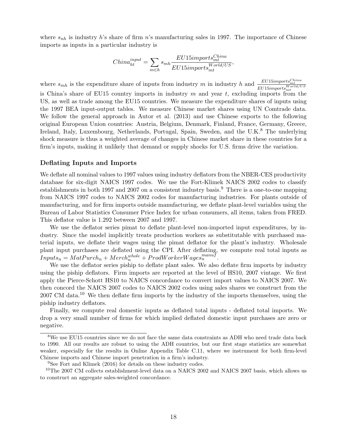where  $s_{nh}$  is industry h's share of firm n's manufacturing sales in 1997. The importance of Chinese imports as inputs in a particular industry is

$$
China_{ht}^{input} = \sum_{m \in h} s_{mh} \frac{EU15 import s_{mt}^{China}}{EU15 import s_{mt}^{World/US}},
$$

where  $s_{mh}$  is the expenditure share of inputs from industry m in industry h and  $\frac{EU15\text{}import s_{m}^{China}}{EU15\text{}import s_{m}^{World/US}}$ is China's share of EU15 country imports in industry  $m$  and year  $t$ , excluding imports from the US, as well as trade among the EU15 countries. We measure the expenditure shares of inputs using the 1997 BEA input-output tables. We measure Chinese market shares using UN Comtrade data. We follow the general approach in Autor et al. (2013) and use Chinese exports to the following original European Union countries: Austria, Belgium, Denmark, Finland, France, Germany, Greece, Ireland, Italy, Luxembourg, Netherlands, Portugal, Spain, Sweden, and the U.K.<sup>8</sup> The underlying shock measure is thus a weighted average of changes in Chinese market share in these countries for a firm's inputs, making it unlikely that demand or supply shocks for U.S. firms drive the variation.

#### Deflating Inputs and Imports

We deflate all nominal values to 1997 values using industry deflators from the NBER-CES productivity database for six-digit NAICS 1997 codes. We use the Fort-Klimek NAICS 2002 codes to classify establishments in both 1997 and 2007 on a consistent industry basis.<sup>9</sup> There is a one-to-one mapping from NAICS 1997 codes to NAICS 2002 codes for manufacturing industries. For plants outside of manufacturing, and for firm imports outside manufacturing, we deflate plant-level variables using the Bureau of Labor Statistics Consumer Price Index for urban consumers, all items, taken from FRED. This deflator value is 1.292 between 2007 and 1997.

We use the deflator series pimat to deflate plant-level non-imported input expenditures, by industry. Since the model implicitly treats production workers as substitutable with purchased material inputs, we deflate their wages using the pimat deflator for the plant's industry. Wholesale plant input purchases are deflated using the CPI. After deflating, we compute real total inputs as  $Inputs_n = MatPurch_n + Merch_n^{whole} + ProdWorkerWages_n^{manuf}.$ 

We use the deflator series piship to deflate plant sales. We also deflate firm imports by industry using the piship deflators. Firm imports are reported at the level of HS10, 2007 vintage. We first apply the Pierce-Schott HS10 to NAICS concordance to convert import values to NAICS 2007. We then concord the NAICS 2007 codes to NAICS 2002 codes using sales shares we construct from the 2007 CM data.<sup>10</sup> We then deflate firm imports by the industry of the imports themselves, using the piship industry deflators.

Finally, we compute real domestic inputs as deflated total inputs - deflated total imports. We drop a very small number of firms for which implied deflated domestic input purchases are zero or negative.

<sup>8</sup>We use EU15 countries since we do not face the same data constraints as ADH who need trade data back to 1990. All our results are robust to using the ADH countries, but our first stage statistics are somewhat weaker, especially for the results in Online Appendix Table C.11, where we instrument for both firm-level Chinese imports and Chinese import penetration in a firm's industry.

<sup>&</sup>lt;sup>9</sup>See Fort and Klimek (2016) for details on these industry codes.

 $10$ The 2007 CM collects establishment-level data on a NAICS 2002 and NAICS 2007 basis, which allows us to construct an aggregate sales-weighted concordance.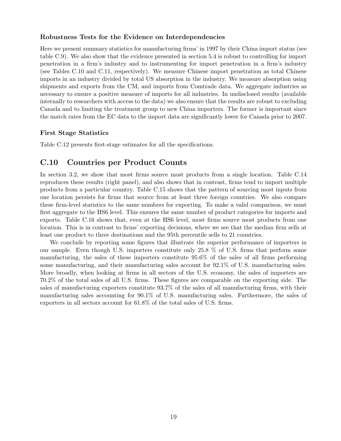#### Robustness Tests for the Evidence on Interdependencies

Here we present summary statistics for manufacturing firms' in 1997 by their China import status (see table C.9). We also show that the evidence presented in section 5.4 is robust to controlling for import penetration in a firm's industry and to instrumenting for import penetration in a firm's industry (see Tables C.10 and C.11, respectively). We measure Chinese import penetration as total Chinese imports in an industry divided by total US absorption in the industry. We measure absorption using shipments and exports from the CM, and imports from Comtrade data. We aggregate industries as necessary to ensure a positive measure of imports for all industries. In undisclosed results (available internally to researchers with access to the data) we also ensure that the results are robust to excluding Canada and to limiting the treatment group to new China importers. The former is important since the match rates from the EC data to the import data are significantly lower for Canada prior to 2007.

#### First Stage Statistics

Table C.12 presents first-stage estimates for all the specifications.

### C.10 Countries per Product Counts

In section 3.2, we show that most firms source most products from a single location. Table C.14 reproduces these results (right panel), and also shows that in contrast, firms tend to import multiple products from a particular country. Table C.15 shows that the pattern of sourcing most inputs from one location persists for firms that source from at least three foreign countries. We also compare these firm-level statistics to the same numbers for exporting. To make a valid comparison, we must first aggregate to the HS6 level. This ensures the same number of product categories for imports and exports. Table C.16 shows that, even at the HS6 level, most firms source most products from one location. This is in contrast to firms' exporting decisions, where we see that the median firm sells at least one product to three destinations and the 95th percentile sells to 21 countries.

We conclude by reporting some figures that illustrate the superior performance of importers in our sample. Even though U.S. importers constitute only 25.8 % of U.S. firms that perform some manufacturing, the sales of these importers constitute 95.6% of the sales of all firms performing some manufacturing, and their manufacturing sales account for 92.1% of U.S. manufacturing sales. More broadly, when looking at firms in all sectors of the U.S. economy, the sales of importers are 70.2% of the total sales of all U.S. firms. These figures are comparable on the exporting side. The sales of manufacturing exporters constitute 93.7% of the sales of all manufacturing firms, with their manufacturing sales accounting for 90.1% of U.S. manufacturing sales. Furthermore, the sales of exporters in all sectors account for 61.8% of the total sales of U.S. firms.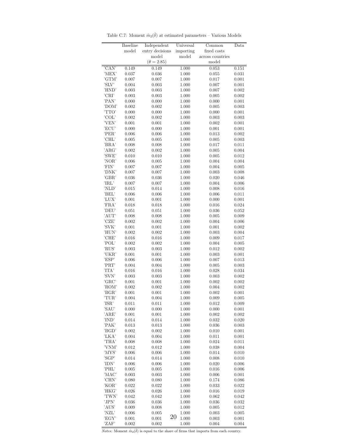|                   | <b>Baseline</b> | Independent       | Universal   | Common           | Data  |
|-------------------|-----------------|-------------------|-------------|------------------|-------|
|                   | model           | entry decisions   | importing   | fixed costs      |       |
|                   |                 | model             | model       | across countries |       |
|                   |                 | $(\theta = 2.85)$ |             | model            |       |
| $\overline{CAN'}$ | 0.149           | 0.149             | 1.000       | 0.053            | 0.151 |
| 'MEX'             | 0.037           | 0.036             | 1.000       | 0.055            | 0.031 |
| 'GTM'             | 0.007           | 0.007             | 1.000       | 0.017            | 0.001 |
| 'SLV'             | 0.004           | 0.003             | 1.000       | 0.007            | 0.001 |
| 'HND'             | 0.003           | 0.003             | 1.000       | 0.007            | 0.002 |
| 'CRI'             | 0.003           | 0.003             | 1.000       | 0.005            | 0.002 |
| 'PAN'             | 0.000           | 0.000             | 1.000       | 0.000            | 0.001 |
| 'DOM'             | 0.002           | 0.002             | 1.000       | 0.005            | 0.003 |
| 'TTO'             | 0.000           | 0.000             | 1.000       | 0.000            | 0.001 |
| 'COL'             | 0.002           | 0.002             | 1.000       | 0.003            | 0.003 |
| 'VEN'             | 0.001           | 0.001             | 1.000       | 0.002            | 0.001 |
| 'ECU'             | 0.000           | 0.000             | 1.000       | 0.001            | 0.001 |
| 'PER'             | 0.006           | 0.006             | 1.000       | 0.013            | 0.002 |
| 'CHL'             | 0.005           | 0.005             | 1.000       | 0.005            | 0.003 |
| 'BRA'             | 0.008           | 0.008             | 1.000       | 0.017            | 0.011 |
| 'ARG'             | 0.002           | 0.002             | 1.000       | 0.005            | 0.004 |
| 'SWE'             | 0.010           | 0.010             | 1.000       | 0.005            | 0.012 |
| 'NOR'             | 0.006           | 0.005             | 1.000       | 0.004            | 0.004 |
| 'FIN'             | 0.007           | 0.007             | 1.000       | 0.004            | 0.005 |
| 'DNK'             | 0.007           | 0.007             | 1.000       | 0.003            | 0.008 |
| 'GBR'             | 0.036           | 0.036             | 1.000       | 0.020            | 0.046 |
| 'IRL'             | 0.007           | 0.007             | 1.000       | 0.004            | 0.006 |
| 'NLD'             | 0.015           | 0.014             | 1.000       | 0.008            | 0.016 |
| 'BEL'             | 0.006           | 0.006             | 1.000       | 0.006            | 0.011 |
| 'LUX'             | 0.001           | 0.001             | 1.000       | 0.000            | 0.001 |
| 'FRA'             | 0.018           | 0.018             | 1.000       | 0.016            | 0.024 |
| 'DEU'             | 0.051           | 0.051             | 1.000       | 0.036            | 0.052 |
| 'AUT'             | 0.008           | 0.008             | 1.000       | 0.005            | 0.009 |
| 'CZE'             | 0.002           | 0.002             | 1.000       | 0.004            | 0.006 |
| 'SVK'             | 0.001           | 0.001             | 1.000       | 0.001            | 0.002 |
| 'HUN'             | 0.002           | 0.002             | 1.000       | 0.003            | 0.004 |
| 'CHE'             | 0.016           | 0.016             | 1.000       | 0.009            | 0.017 |
| 'POL'             | 0.002           | 0.002             | 1.000       | 0.004            | 0.005 |
| 'RUS'             | 0.003           | 0.003             | 1.000       | 0.012            | 0.002 |
| 'UKR'             | 0.001           | 0.001             | 1.000       | 0.003            | 0.001 |
| 'ESP'             | 0.006           | 0.006             | 1.000       | 0.007            | 0.013 |
| 'PRT'             | 0.004           | 0.004             | 1.000       | 0.005            | 0.003 |
| 'ITA'             | 0.016           | 0.016             | 1.000       | 0.028            | 0.034 |
| 'SVN'             | 0.003           | 0.003             | 1.000       | 0.003            | 0.002 |
| 'GRC'             | 0.001           | 0.001             | 1.000       | 0.002            | 0.002 |
| 'ROM'             | 0.002           | 0.002             | 1.000       | 0.004            | 0.002 |
| 'BGR'             | 0.001           | 0.001             | 1.000       | 0.002            | 0.001 |
| 'TUR'             | 0.004           | 0.004             | 1.000       | 0.009            | 0.005 |
| 'ISR'             | 0.011           | 0.011             | 1.000       | 0.012            | 0.009 |
| 'SAU'             | 0.000           | 0.000             | 1.000       | 0.000            | 0.001 |
| 'ARE'             | 0.001           | 0.001             | 1.000       | 0.002            | 0.002 |
| 'IND'             | 0.014           | 0.014             | 1.000       | 0.032            | 0.020 |
| 'PAK'             | 0.013           | 0.013             | 1.000       | 0.036            | 0.003 |
| 'BGD'             | 0.002           | 0.002             | 1.000       | 0.010            | 0.001 |
| 'LKA'             | 0.004           | 0.004             | 1.000       | 0.011            | 0.001 |
| 'THA'             | 0.008           | 0.008             | 1.000       | 0.024            | 0.011 |
| 'VNM'             | 0.012           | 0.012             | 1.000       | 0.038            | 0.004 |
| 'MYS'             | 0.006           | 0.006             | 1.000       | 0.014            | 0.010 |
| 'SGP'             | 0.014           | 0.014             | 1.000       | 0.008            | 0.010 |
| 'IDN'             | 0.006           | 0.006             | 1.000       | 0.020            | 0.006 |
| 'PHL'             | 0.005           | 0.005             | 1.000       | 0.016            | 0.006 |
| 'MAC'             | 0.003           | 0.003             | 1.000       | 0.006            | 0.001 |
| 'CHN'             | 0.080           | 0.080             | 1.000       | 0.174            | 0.086 |
| 'KOR'             | 0.022           | 0.022             | 1.000       | 0.033            | 0.022 |
| 'HKG'             | 0.026           | 0.026             | 1.000       | 0.016            | 0.019 |
| 'TWN'             | 0.042           | 0.042             | 1.000       | 0.062            | 0.042 |
| 'JPN'             | 0.036           | 0.036             | 1.000       | 0.036            | 0.032 |
| 'AUS'             | 0.009           | 0.008             | 1.000       | 0.005            | 0.012 |
| 'NZL'             | 0.006           | 0.005             | 1.000       | 0.003            | 0.005 |
| 'EGY'             | 0.001           | 0.001             | 20<br>1.000 | 0.003            | 0.001 |
| 'ZAF'             | 0.002           | 0.002             | 1.000       | 0.004            | 0.004 |

Table C.7: Moment $\hat{m}_2(\hat{\delta})$  at estimated parameters – Various Models

 $\overline{\textit{Notes}}{}:$  Moment  $\hat{m}_2(\hat{\delta})$  is equal to the share of firms that imports from each country.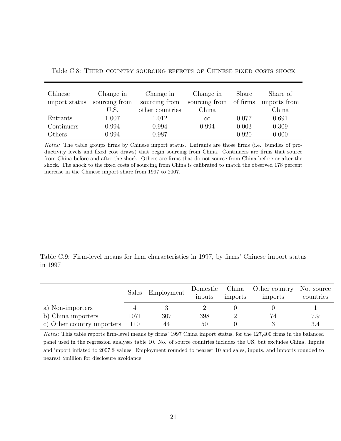| Chinese<br>import status | Change in<br>sourcing from | Change in<br>sourcing from | Change in<br>sourcing from | Share<br>of firms | Share of<br>imports from |
|--------------------------|----------------------------|----------------------------|----------------------------|-------------------|--------------------------|
|                          | U.S                        | other countries            | China                      |                   | China                    |
| Entrants                 | 1.007                      | 1.012                      | $\infty$                   | 0.077             | 0.691                    |
| Continuers               | 0.994                      | 0.994                      | 0.994                      | 0.003             | 0.309                    |
| Others                   | 0.994                      | 0.987                      |                            | 0.920             | 0.000                    |

Table C.8: Third country sourcing effects of Chinese fixed costs shock

Notes: The table groups firms by Chinese import status. Entrants are those firms (i.e. bundles of productivity levels and fixed cost draws) that begin sourcing from China. Continuers are firms that source from China before and after the shock. Others are firms that do not source from China before or after the shock. The shock to the fixed costs of sourcing from China is calibrated to match the observed 178 percent increase in the Chinese import share from 1997 to 2007.

Table C.9: Firm-level means for firm characteristics in 1997, by firms' Chinese import status in 1997

|                            |      | Sales Employment | Domestic<br>inputs | China<br>imports | Other country<br>imports | No. source<br>countries |
|----------------------------|------|------------------|--------------------|------------------|--------------------------|-------------------------|
| a) Non-importers           |      |                  |                    |                  |                          |                         |
| b) China importers         | 1071 | 307              | 398                |                  |                          | 7.9                     |
| c) Other country importers | 110  | 44               | 50                 |                  |                          | 3.4                     |

Notes: This table reports firm-level means by firms' 1997 China import status, for the 127,400 firms in the balanced panel used in the regression analyses table 10. No. of source countries includes the US, but excludes China. Inputs and import inflated to 2007 \$ values. Employment rounded to nearest 10 and sales, inputs, and imports rounded to nearest \$million for disclosure avoidance.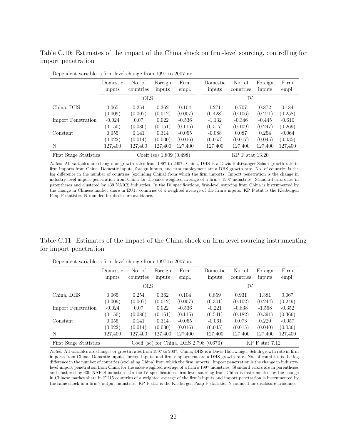Table C.10: Estimates of the impact of the China shock on firm-level sourcing, controlling for import penetration

|                        | Domestic<br>inputs           | No. of<br>countries | Foreign<br>inputs | Firm<br>empl.     | Domestic<br>inputs | No. of<br>countries | Foreign<br>inputs | Firm<br>empl. |  |
|------------------------|------------------------------|---------------------|-------------------|-------------------|--------------------|---------------------|-------------------|---------------|--|
|                        |                              | <b>OLS</b>          |                   |                   | IV                 |                     |                   |               |  |
| China, DHS             | 0.065                        | 0.254               | 0.362             | 0.104             | 1.271              | 0.707               | 0.872             | 0.184         |  |
|                        | (0.009)                      | (0.007)             | (0.012)           | (0.007)           | (0.428)            | (0.106)             | (0.271)           | (0.258)       |  |
| Import Penetration     | $-0.024$                     | 0.07                | 0.022             | $-0.536$          | $-1.132$           | $-0.346$            | $-0.445$          | $-0.610$      |  |
|                        | (0.150)                      | (0.080)             | (0.151)           | (0.115)           | (0.517)            | (0.109)             | (0.247)           | (0.269)       |  |
| Constant               | 0.055                        | 0.141               | 0.314             | $-0.055$          | $-0.088$           | 0.087               | 0.254             | $-0.064$      |  |
|                        | (0.022)                      | (0.014)             | (0.030)           | (0.016)           | (0.053)            | (0.017)             | (0.045)           | (0.035)       |  |
| N                      | 127,400                      | 127,400             | 127,400           | 127,400           | 127,400            | 127,400             | 127,400           | 127,400       |  |
| First Stage Statistics | 1.809(0.498)<br>$Coeff$ (se) |                     |                   | $KP$ F stat 13.20 |                    |                     |                   |               |  |

Dependent variable is firm-level change from 1997 to 2007 in:

Notes: All variables are changes or growth rates from 1997 to 2007. China, DHS is a Davis-Haltiwanger-Schuh growth rate in firm imports from China. Domestic inputs, foreign inputs, and firm employment are a DHS growth rate. No. of countries is the log difference in the number of countries (excluding China) from which the firm imports. Import penetration is the change in industry-level import penetration from China for the sales-weighted average of a firm's 1997 industries. Standard errors are in parentheses and clustered by 439 NAICS industries. In the IV specifications, firm-level sourcing from China is instrumented by the change in Chinese market share in EU15 countries of a weighted average of the firm's inputs. KP F stat is the Kleibergen Paap F-statistic. N rounded for disclosure avoidance.

#### Table C.11: Estimates of the impact of the China shock on firm-level sourcing instrumenting for import penetration

|                        | Domestic<br>inputs | No. of<br>countries | Foreign<br>inputs | Firm<br>empl. | Domestic<br>inputs                        | No. of<br>countries | Foreign<br>inputs | Firm<br>empl. |
|------------------------|--------------------|---------------------|-------------------|---------------|-------------------------------------------|---------------------|-------------------|---------------|
|                        |                    | <b>OLS</b>          |                   |               |                                           | IV                  |                   |               |
| China, DHS             | 0.065              | 0.254               | 0.362             | 0.104         | 0.859                                     | 0.931               | 1.381             | 0.067         |
|                        | (0.009)            | (0.007)             | (0.012)           | (0.007)       | (0.301)                                   | (0.102)             | (0.244)           | (0.249)       |
| Import Penetration     | $-0.024$           | 0.07                | 0.022             | $-0.536$      | $-0.221$                                  | $-0.838$            | $-1.568$          | $-0.352$      |
|                        | (0.150)            | (0.080)             | (0.151)           | (0.115)       | (0.541)                                   | (0.182)             | (0.391)           | (0.366)       |
| Constant               | 0.055              | 0.141               | 0.314             | $-0.055$      | $-0.061$                                  | 0.073               | 0.220             | $-0.057$      |
|                        | (0.022)            | (0.014)             | (0.030)           | (0.016)       | (0.045)                                   | (0.015)             | (0.040)           | (0.036)       |
| N                      | 127,400            | 127,400             | 127,400           | 127,400       | 127,400                                   | 127,400             | 127,400           | 127,400       |
| First Stage Statistics |                    |                     |                   |               | Coeff (se) for China, DHS $2.798$ (0.670) |                     | $KP$ F stat 7.12  |               |

Dependent variable is firm-level change from 1997 to 2007 in:

Notes: All variables are changes or growth rates from 1997 to 2007. China, DHS is a Davis-Haltiwanger-Schuh growth rate in firm imports from China. Domestic inputs, foreign inputs, and firm employment are a DHS growth rate. No. of countries is the log difference in the number of countries (excluding China) from which the firm imports. Import penetration is the change in industrylevel import penetration from China for the sales-weighted average of a firm's 1997 industries. Standard errors are in parentheses and clustered by 439 NAICS industries. In the IV specifications, firm-level sourcing from China is instrumented by the change in Chinese market share in EU15 countries of a weighted average of the firm's inputs and import penetration is instrumented by the same shock in a firm's output industries. KP F stat is the Kleibergen Paap F-statistic. N rounded for disclosure avoidance.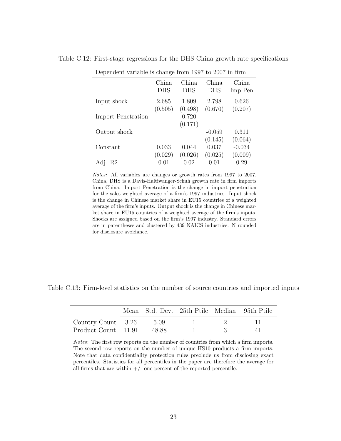| Dependent variable is change from 1997 to 2007 in firm |              |                     |                     |                  |  |  |
|--------------------------------------------------------|--------------|---------------------|---------------------|------------------|--|--|
|                                                        | China<br>DHS | China<br><b>DHS</b> | China<br><b>DHS</b> | China<br>Imp Pen |  |  |
| Input shock                                            | 2.685        | 1.809               | 2.798               | 0.626            |  |  |
|                                                        | (0.505)      | (0.498)             | (0.670)             | (0.207)          |  |  |
| <b>Import Penetration</b>                              |              | 0.720               |                     |                  |  |  |
|                                                        |              | (0.171)             |                     |                  |  |  |
| Output shock                                           |              |                     | $-0.059$            | 0.311            |  |  |
|                                                        |              |                     | (0.145)             | (0.064)          |  |  |
| Constant                                               | 0.033        | 0.044               | 0.037               | $-0.034$         |  |  |
|                                                        | (0.029)      | (0.026)             | (0.025)             | (0.009)          |  |  |
| Adj. R2                                                | 0.01         | 0.02                | 0.01                | 0.29             |  |  |

Table C.12: First-stage regressions for the DHS China growth rate specifications

Notes: All variables are changes or growth rates from 1997 to 2007. China, DHS is a Davis-Haltiwanger-Schuh growth rate in firm imports from China. Import Penetration is the change in import penetration for the sales-weighted average of a firm's 1997 industries. Input shock is the change in Chinese market share in EU15 countries of a weighted average of the firm's inputs. Output shock is the change in Chinese market share in EU15 countries of a weighted average of the firm's inputs. Shocks are assigned based on the firm's 1997 industry. Standard errors are in parentheses and clustered by 439 NAICS industries. N rounded for disclosure avoidance.

Table C.13: Firm-level statistics on the number of source countries and imported inputs

|                     |       | Mean Std. Dev. 25th Ptile Median 95th Ptile |     |
|---------------------|-------|---------------------------------------------|-----|
| Country Count 3.26  | 5.09  |                                             |     |
| Product Count 11.91 | 48.88 |                                             | 4 L |

Notes: The first row reports on the number of countries from which a firm imports. The second row reports on the number of unique HS10 products a firm imports. Note that data confidentiality protection rules preclude us from disclosing exact percentiles. Statistics for all percentiles in the paper are therefore the average for all firms that are within  $+/-$  one percent of the reported percentile.